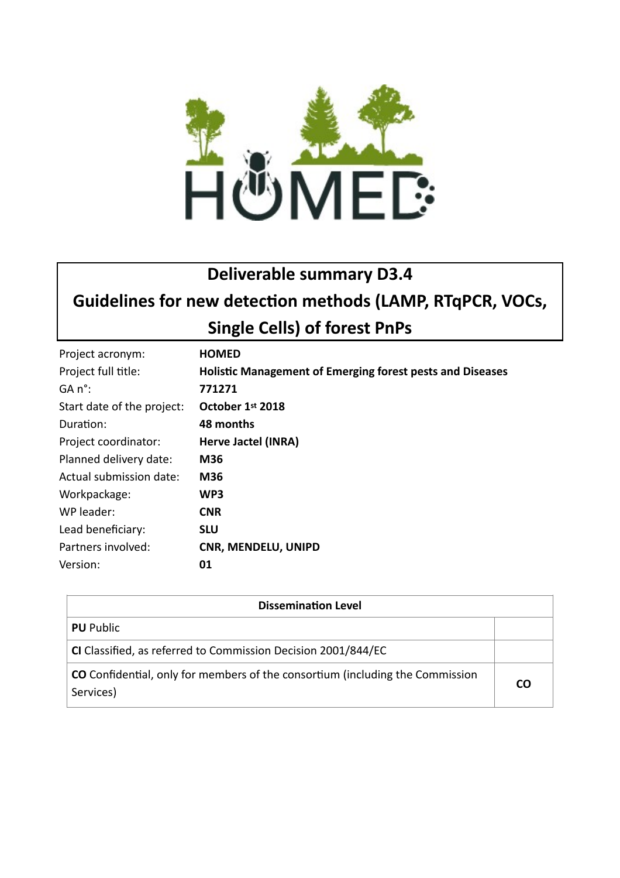

# **Deliverable summary D3.4**

# **Guidelines for new detection methods (LAMP, RTqPCR, VOCs,**

# **Single Cells) of forest PnPs**

| Project acronym:           | <b>HOMED</b>                                                     |
|----------------------------|------------------------------------------------------------------|
| Project full title:        | <b>Holistic Management of Emerging forest pests and Diseases</b> |
| $GA n^{\circ}$ :           | 771271                                                           |
| Start date of the project: | October 1st 2018                                                 |
| Duration:                  | 48 months                                                        |
| Project coordinator:       | Herve Jactel (INRA)                                              |
| Planned delivery date:     | <b>M36</b>                                                       |
| Actual submission date:    | M36                                                              |
| Workpackage:               | WP3                                                              |
| WP leader:                 | <b>CNR</b>                                                       |
| Lead beneficiary:          | <b>SLU</b>                                                       |
| Partners involved:         | <b>CNR, MENDELU, UNIPD</b>                                       |
| Version:                   | 01                                                               |

| <b>Dissemination Level</b>                                                                        |           |  |  |  |
|---------------------------------------------------------------------------------------------------|-----------|--|--|--|
| <b>PU</b> Public                                                                                  |           |  |  |  |
| CI Classified, as referred to Commission Decision 2001/844/EC                                     |           |  |  |  |
| <b>CO</b> Confidential, only for members of the consortium (including the Commission<br>Services) | <b>CO</b> |  |  |  |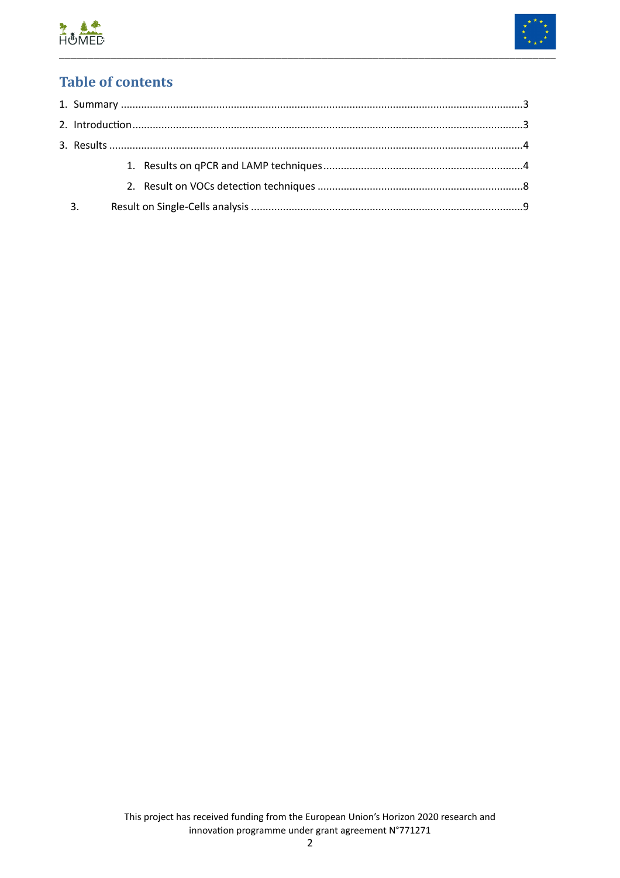



# **Table of contents**

| 3. |  |
|----|--|
|    |  |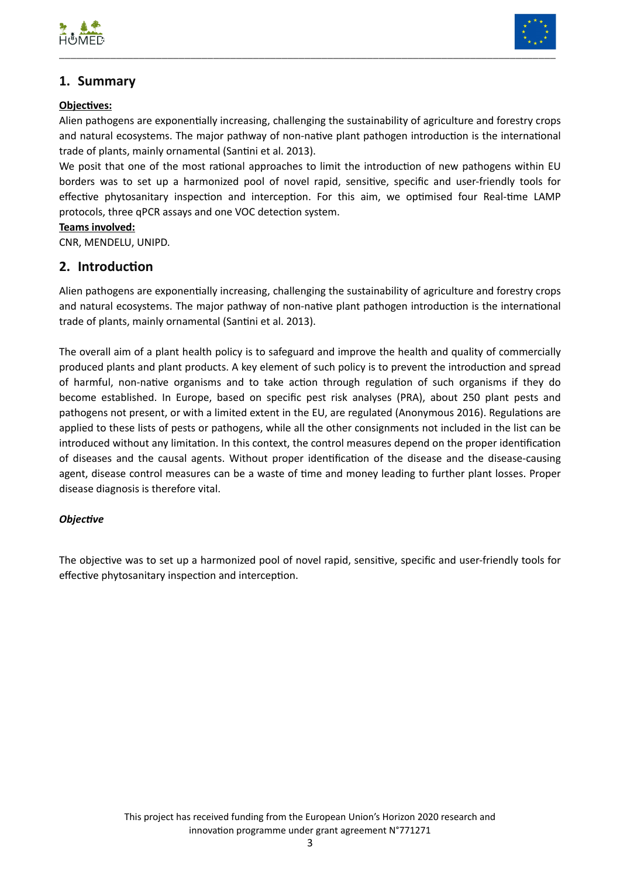



# <span id="page-2-0"></span>**1. Summary**

### **Objectives:**

Alien pathogens are exponentially increasing, challenging the sustainability of agriculture and forestry crops and natural ecosystems. The major pathway of non-native plant pathogen introduction is the international trade of plants, mainly ornamental (Santini et al. 2013).

We posit that one of the most rational approaches to limit the introduction of new pathogens within EU borders was to set up a harmonized pool of novel rapid, sensitive, specific and user-friendly tools for effective phytosanitary inspection and interception. For this aim, we optimised four Real-time LAMP protocols, three qPCR assays and one VOC detection system.

#### **Teams involved:**

CNR, MENDELU, UNIPD.

# <span id="page-2-1"></span>**2. Introduction**

Alien pathogens are exponentially increasing, challenging the sustainability of agriculture and forestry crops and natural ecosystems. The major pathway of non-native plant pathogen introduction is the international trade of plants, mainly ornamental (Santini et al. 2013).

The overall aim of a plant health policy is to safeguard and improve the health and quality of commercially produced plants and plant products. A key element of such policy is to prevent the introduction and spread of harmful, non-native organisms and to take action through regulation of such organisms if they do become established. In Europe, based on specific pest risk analyses (PRA), about 250 plant pests and pathogens not present, or with a limited extent in the EU, are regulated (Anonymous 2016). Regulations are applied to these lists of pests or pathogens, while all the other consignments not included in the list can be introduced without any limitation. In this context, the control measures depend on the proper identification of diseases and the causal agents. Without proper identification of the disease and the disease-causing agent, disease control measures can be a waste of time and money leading to further plant losses. Proper disease diagnosis is therefore vital.

### *Objective*

The objective was to set up a harmonized pool of novel rapid, sensitive, specific and user-friendly tools for effective phytosanitary inspection and interception.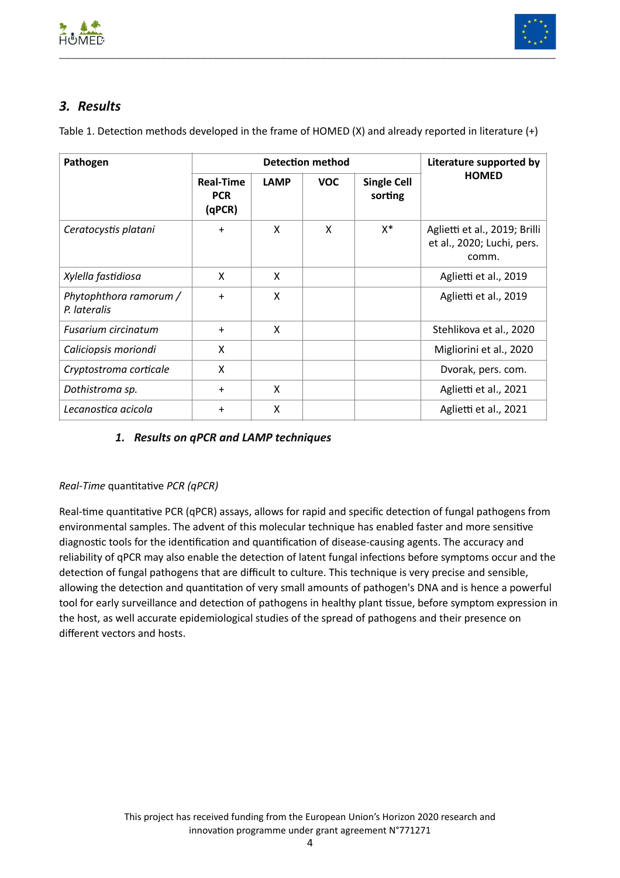



# <span id="page-3-0"></span>*3. Results*

Table 1. Detection methods developed in the frame of HOMED (X) and already reported in literature (+)

| Pathogen                               |                                          | <b>Detection method</b> | Literature supported by |                               |                                                                      |
|----------------------------------------|------------------------------------------|-------------------------|-------------------------|-------------------------------|----------------------------------------------------------------------|
|                                        | <b>Real-Time</b><br><b>PCR</b><br>(qPCR) | <b>LAMP</b>             | <b>VOC</b>              | <b>Single Cell</b><br>sorting | <b>HOMED</b>                                                         |
| Ceratocystis platani                   | $\ddot{}$                                | X                       | X                       | $X^*$                         | Aglietti et al., 2019; Brilli<br>et al., 2020; Luchi, pers.<br>comm. |
| Xylella fastidiosa                     | X                                        | X                       |                         |                               | Aglietti et al., 2019                                                |
| Phytophthora ramorum /<br>P. lateralis | $\ddot{}$                                | X                       |                         |                               | Aglietti et al., 2019                                                |
| <b>Fusarium circinatum</b>             | $\ddot{}$                                | X                       |                         |                               | Stehlikova et al., 2020                                              |
| Caliciopsis moriondi                   | X                                        |                         |                         |                               | Migliorini et al., 2020                                              |
| Cryptostroma corticale                 | X                                        |                         |                         |                               | Dvorak, pers. com.                                                   |
| Dothistroma sp.                        | $\ddot{}$                                | X                       |                         |                               | Aglietti et al., 2021                                                |
| Lecanostica acicola                    | $\ddot{}$                                | X                       |                         |                               | Aglietti et al., 2021                                                |

# <span id="page-3-1"></span>*1. Results on qPCR and LAMP techniques*

# *Real-Time* quantitative *PCR (qPCR)*

Real-time quantitative PCR (qPCR) assays, allows for rapid and specific detection of fungal pathogens from environmental samples. The advent of this molecular technique has enabled faster and more sensitive diagnostic tools for the identification and quantification of disease-causing agents. The accuracy and reliability of qPCR may also enable the detection of latent fungal infections before symptoms occur and the detection of fungal pathogens that are difficult to culture. This technique is very precise and sensible, allowing the detection and quantitation of very small amounts of pathogen's DNA and is hence a powerful tool for early surveillance and detection of pathogens in healthy plant tissue, before symptom expression in the host, as well accurate epidemiological studies of the spread of pathogens and their presence on different vectors and hosts.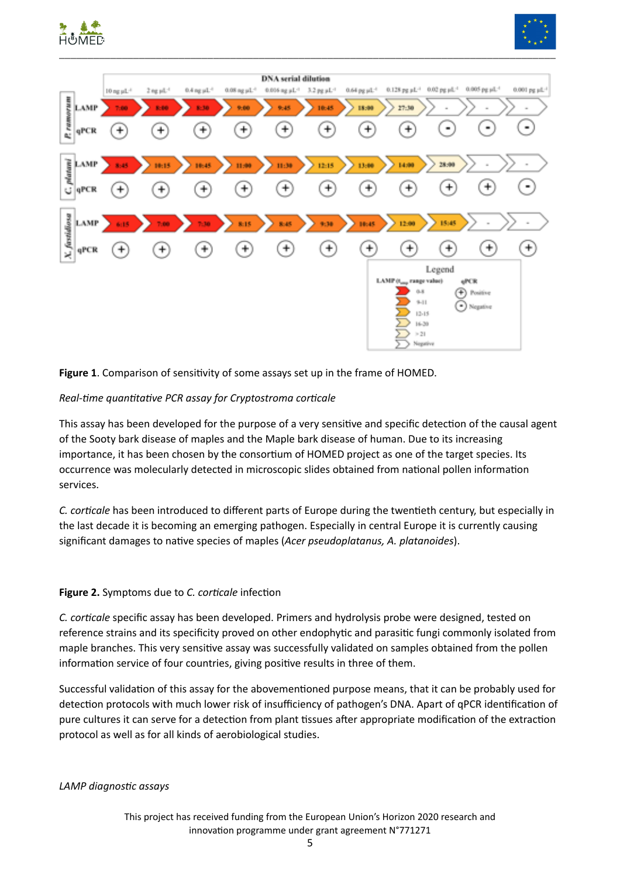



**Figure 1**. Comparison of sensitivity of some assays set up in the frame of HOMED.

### *Real-time quantitative PCR assay for Cryptostroma corticale*

This assay has been developed for the purpose of a very sensitive and specific detection of the causal agent of the Sooty bark disease of maples and the Maple bark disease of human. Due to its increasing importance, it has been chosen by the consortium of HOMED project as one of the target species. Its occurrence was molecularly detected in microscopic slides obtained from national pollen information services.

*C. corticale* has been introduced to different parts of Europe during the twentieth century, but especially in the last decade it is becoming an emerging pathogen. Especially in central Europe it is currently causing significant damages to native species of maples (*Acer pseudoplatanus, A. platanoides*).

#### **Figure 2.** Symptoms due to *C. corticale* infection

*C. corticale* specific assay has been developed. Primers and hydrolysis probe were designed, tested on reference strains and its specificity proved on other endophytic and parasitic fungi commonly isolated from maple branches. This very sensitive assay was successfully validated on samples obtained from the pollen information service of four countries, giving positive results in three of them.

Successful validation of this assay for the abovementioned purpose means, that it can be probably used for detection protocols with much lower risk of insufficiency of pathogen's DNA. Apart of qPCR identification of pure cultures it can serve for a detection from plant tissues after appropriate modification of the extraction protocol as well as for all kinds of aerobiological studies.

#### *LAMP diagnostic assays*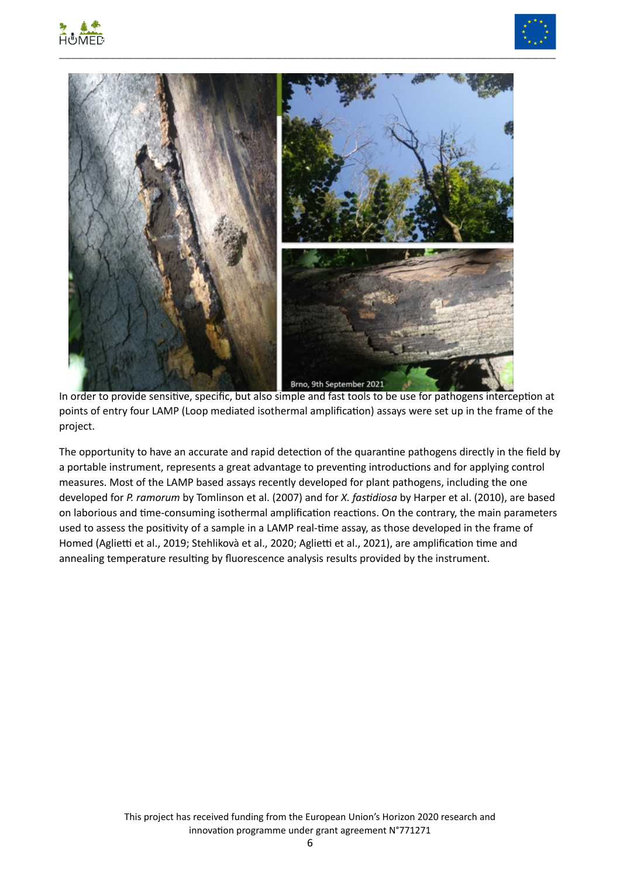





In order to provide sensitive, specific, but also simple and fast tools to be use for pathogens interception at points of entry four LAMP (Loop mediated isothermal amplification) assays were set up in the frame of the project.

The opportunity to have an accurate and rapid detection of the quarantine pathogens directly in the field by a portable instrument, represents a great advantage to preventing introductions and for applying control measures. Most of the LAMP based assays recently developed for plant pathogens, including the one developed for *P. ramorum* by Tomlinson et al. (2007) and for *X. fastidiosa* by Harper et al. (2010), are based on laborious and time-consuming isothermal amplification reactions. On the contrary, the main parameters used to assess the positivity of a sample in a LAMP real-time assay, as those developed in the frame of Homed (Aglietti et al., 2019; Stehlikovà et al., 2020; Aglietti et al., 2021), are amplification time and annealing temperature resulting by fluorescence analysis results provided by the instrument.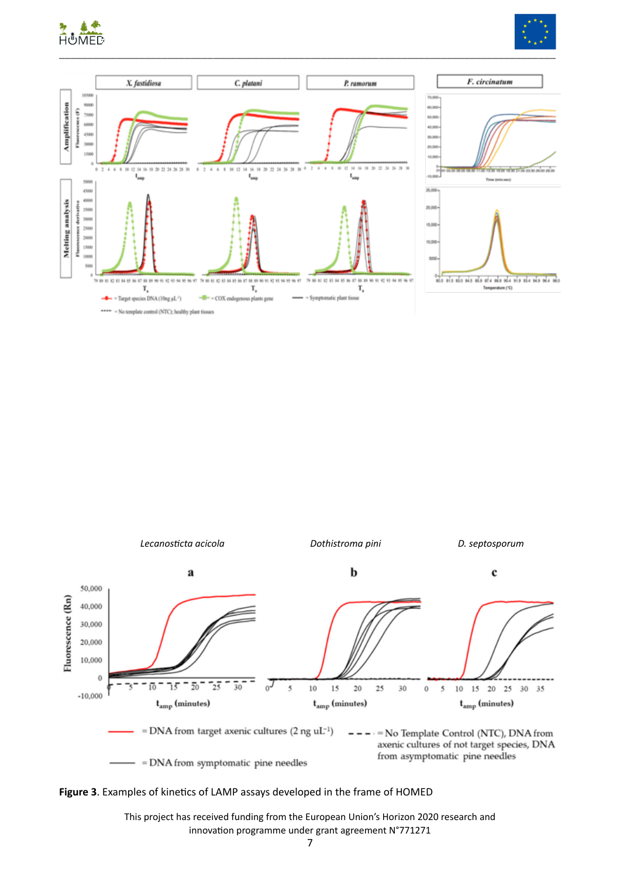









This project has received funding from the European Union's Horizon 2020 research and innovation programme under grant agreement N°771271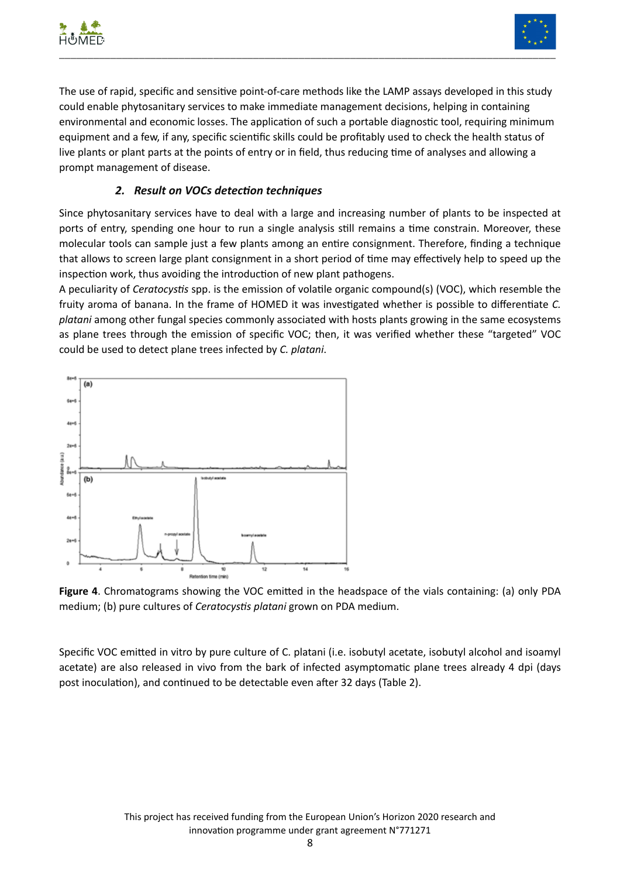



The use of rapid, specific and sensitive point-of-care methods like the LAMP assays developed in this study could enable phytosanitary services to make immediate management decisions, helping in containing environmental and economic losses. The application of such a portable diagnostic tool, requiring minimum equipment and a few, if any, specific scientific skills could be profitably used to check the health status of live plants or plant parts at the points of entry or in field, thus reducing time of analyses and allowing a prompt management of disease.

# <span id="page-7-0"></span>*2. Result on VOCs detection techniques*

Since phytosanitary services have to deal with a large and increasing number of plants to be inspected at ports of entry, spending one hour to run a single analysis still remains a time constrain. Moreover, these molecular tools can sample just a few plants among an entire consignment. Therefore, finding a technique that allows to screen large plant consignment in a short period of time may effectively help to speed up the inspection work, thus avoiding the introduction of new plant pathogens.

A peculiarity of *Ceratocystis* spp. is the emission of volatile organic compound(s) (VOC), which resemble the fruity aroma of banana. In the frame of HOMED it was investigated whether is possible to differentiate *C. platani* among other fungal species commonly associated with hosts plants growing in the same ecosystems as plane trees through the emission of specific VOC; then, it was verified whether these "targeted" VOC could be used to detect plane trees infected by *C. platani*.



**Figure 4**. Chromatograms showing the VOC emitted in the headspace of the vials containing: (a) only PDA medium; (b) pure cultures of *Ceratocystis platani* grown on PDA medium.

Specific VOC emitted in vitro by pure culture of C. platani (i.e. isobutyl acetate, isobutyl alcohol and isoamyl acetate) are also released in vivo from the bark of infected asymptomatic plane trees already 4 dpi (days post inoculation), and continued to be detectable even after 32 days (Table 2).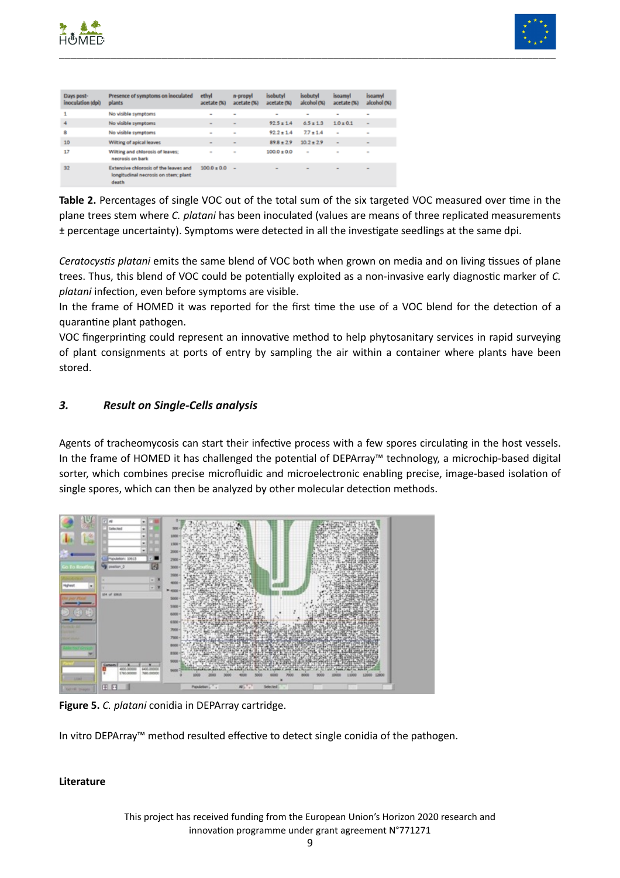



| Days post-<br>inoculation (dpi) | Presence of symptoms on inoculated<br>plants                                           | ethyl<br>acetate (%) | n-propyl<br>acetate (%) | <b>isobutyl</b><br>acetate (%) | <b>Isobutyl</b><br>alcohol (%) | <b>Isoamyl</b><br>acetate (%) | <b>Isoamvl</b><br>alcohol (%) |
|---------------------------------|----------------------------------------------------------------------------------------|----------------------|-------------------------|--------------------------------|--------------------------------|-------------------------------|-------------------------------|
| 1                               | No visible symptoms                                                                    | ۰                    | ۰                       | ۰                              | ۰                              | ۰                             | ۰                             |
| 4                               | No visible symptoms                                                                    | $\sim$               | $\sim$                  | $92.5 \pm 1.4$                 | $6.5 \pm 1.3$                  | $10+01$                       | ٠                             |
| 8                               | No visible symptoms                                                                    | ۰                    | ٠                       | $92.2 \pm 1.4$                 | $7.7 \pm 1.4$                  | $\overline{a}$                | ٠                             |
| 10                              | Wilting of apical leaves                                                               | $\blacksquare$       | $\blacksquare$          | $89.8 \pm 2.9$                 | $10.2 \pm 2.9$                 | $\blacksquare$                | $\blacksquare$                |
| 17                              | Wilting and chlorosis of leaves:<br>necrosis on bark                                   | $\sim$               | $\sim$                  | $100.0 + 0.0$                  | $\sim$                         | $\overline{\phantom{a}}$      | $\sim$                        |
| 32                              | Extensive chlorosis of the leaves and<br>longitudinal necrosis on stem; plant<br>death | $100.0 \pm 0.0$      | . .                     |                                |                                |                               |                               |

Table 2. Percentages of single VOC out of the total sum of the six targeted VOC measured over time in the plane trees stem where *C. platani* has been inoculated (values are means of three replicated measurements ± percentage uncertainty). Symptoms were detected in all the investigate seedlings at the same dpi.

*Ceratocystis platani* emits the same blend of VOC both when grown on media and on living tissues of plane trees. Thus, this blend of VOC could be potentially exploited as a non-invasive early diagnostic marker of *C. platani* infection, even before symptoms are visible.

In the frame of HOMED it was reported for the first time the use of a VOC blend for the detection of a quarantine plant pathogen.

VOC fingerprinting could represent an innovative method to help phytosanitary services in rapid surveying of plant consignments at ports of entry by sampling the air within a container where plants have been stored.

## <span id="page-8-0"></span>*3. Result on Single-Cells analysis*

Agents of tracheomycosis can start their infective process with a few spores circulating in the host vessels. In the frame of HOMED it has challenged the potential of DEPArray™ technology, a microchip-based digital sorter, which combines precise microfluidic and microelectronic enabling precise, image-based isolation of single spores, which can then be analyzed by other molecular detection methods.



**Figure 5.** *C. platani* conidia in DEPArray cartridge.

In vitro DEPArray™ method resulted effective to detect single conidia of the pathogen.

#### **Literature**

This project has received funding from the European Union's Horizon 2020 research and innovation programme under grant agreement N°771271